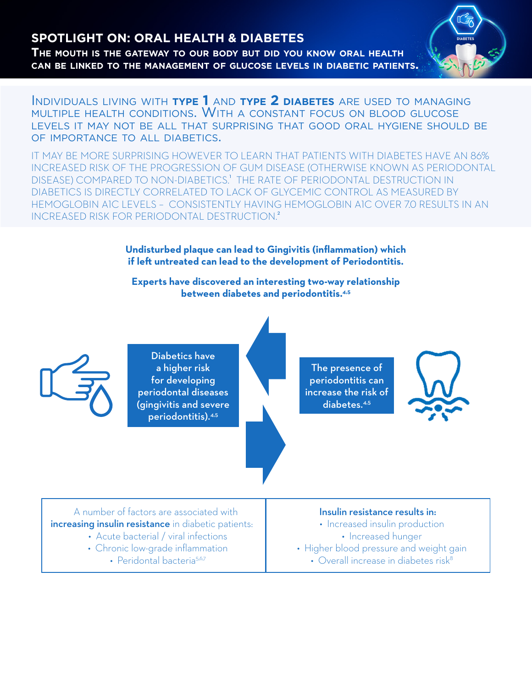# **SPOTLIGHT ON: ORAL HEALTH & DIABETES**

**The mouth is the gateway to our body but did you know oral health can be linked to the management of glucose levels in diabetic patients.**



Individuals living with **type 1** and **type 2 diabetes** are used to managing multiple health conditions. With <sup>a</sup> constant focus on blood glucose levels it may not be all that surprising that good oral hygiene should be of importance to all diabetics.

IT MAY BE MORE SURPRISING HOWEVER TO LEARN THAT PATIENTS WITH DIABETES HAVE AN 86% INCREASED RISK OF THE PROGRESSION OF GUM DISEASE (OTHERWISE KNOWN AS PERIODONTAL DISEASE) COMPARED TO NON-DIABETICS.<sup>1</sup> THE RATE OF PERIODONTAL DESTRUCTION IN DIABETICS IS DIRECTLY CORRELATED TO LACK OF GLYCEMIC CONTROL AS MEASURED BY HEMOGLOBIN A1C LEVELS – CONSISTENTLY HAVING HEMOGLOBIN A1C OVER 7.0 RESULTS IN AN INCREASED RISK FOR PERIODONTAL DESTRUCTION.<sup>2</sup>

> **Undisturbed plaque can lead to Gingivitis (inflammation) which if left untreated can lead to the development of Periodontitis.**

**Experts have discovered an interesting two-way relationship between diabetes and periodontitis.4,5**



Diabetics have a higher risk for developing periodontal diseases (gingivitis and severe periodontitis).4,5

The presence of periodontitis can increase the risk of diabetes.4,5



A number of factors are associated with increasing insulin resistance in diabetic patients:

- Acute bacterial / viral infections
- Chronic low-grade inflammation
	- Peridontal bacteria<sup>5,6,7</sup>

# Insulin resistance results in:

- Increased insulin production
	- Increased hunger
- Higher blood pressure and weight gain
	- Overall increase in diabetes risk $8$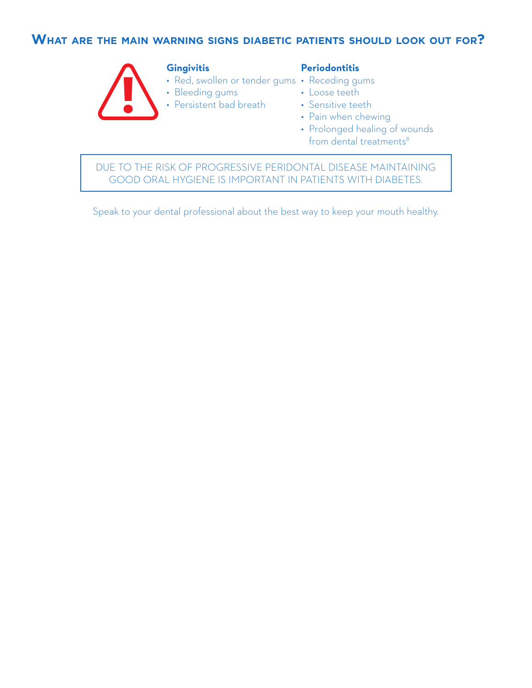# **What are the main warning signs diabetic patients should look out for?**



#### **Gingivitis**

#### **Periodontitis**

- Red, swollen or tender gums Receding gums
- Bleeding gums
- Persistent bad breath
- Loose teeth
- Sensitive teeth
- Pain when chewing
- Prolonged healing of wounds from dental treatments<sup>8</sup>

DUE TO THE RISK OF PROGRESSIVE PERIDONTAL DISEASE MAINTAINING GOOD ORAL HYGIENE IS IMPORTANT IN PATIENTS WITH DIABETES.

Speak to your dental professional about the best way to keep your mouth healthy.